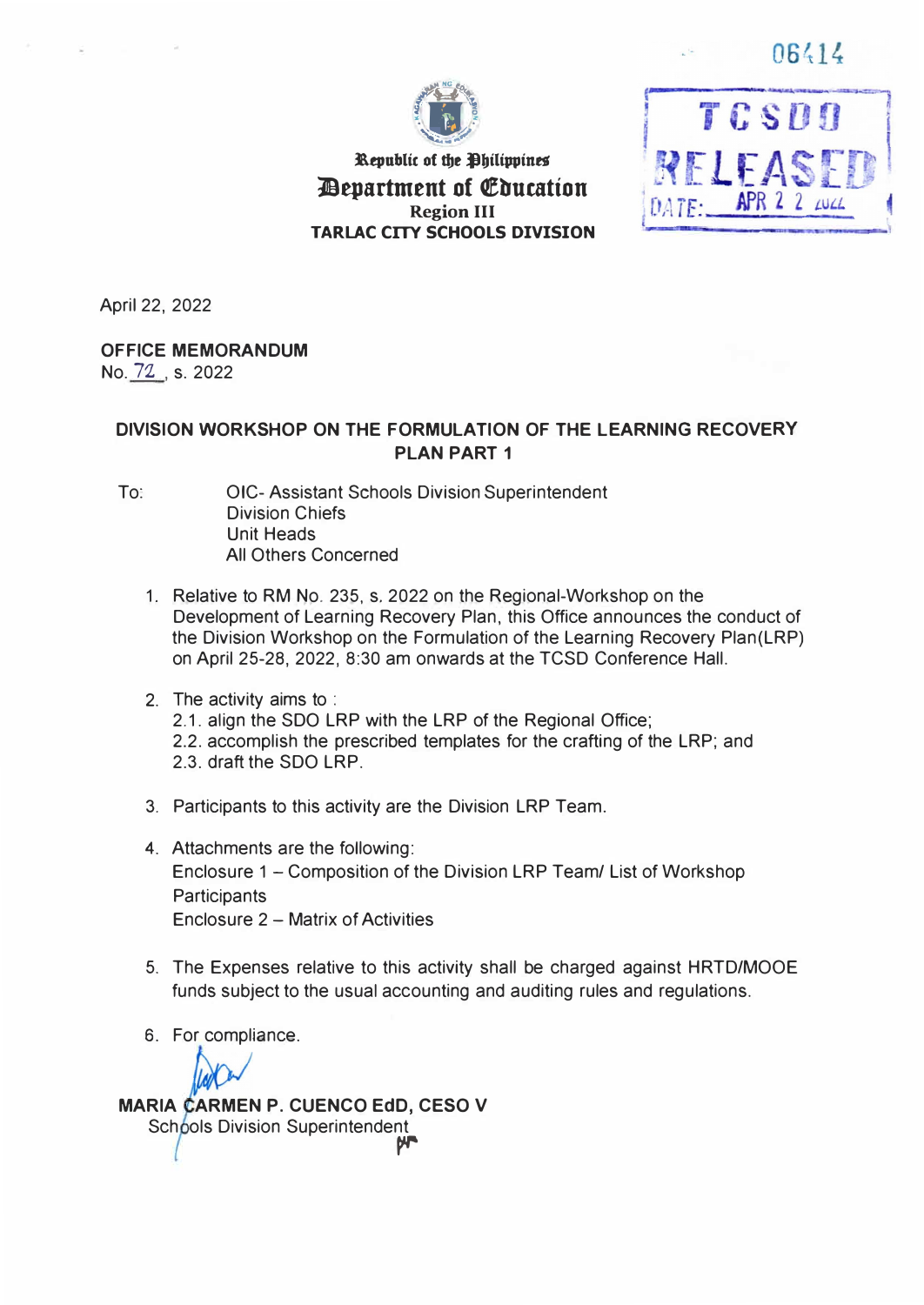06414

TCSDO

RELEAS!

DATE: APR 2 2 AUCA



**Republic of the Philippines** *<u>Aepartment of Education</u>* **Region III TARLAC CITY SCHOOLS DIVISION** 

April 22, 2022

#### **OFFICE MEMORANDUM**

No. 72 , s. 2022

## **DIVISION WORKSHOP ON THE FORMULATION OF THE LEARNING RECOVERY PLAN PART 1**

- To: CIC-Assistant Schools Division Superintendent Division Chiefs Unit Heads All Others Concerned
	- 1. Relative to RM No. 235, s. 2022 on the Regional-Workshop on the Development of Learning Recovery Plan, this Office announces the conduct of the Division Workshop on the Formulation of the Learning Recovery Plan(LRP) on April 25-28, 2022, 8:30 am onwards at the TCSD Conference Hall.
	- 2. The activity aims to : 2.1. align the SDO LRP with the LRP of the Regional Office; 2.2. accomplish the prescribed templates for the crafting of the LRP; and 2.3. draft the SDO LRP.
	- 3. Participants to this activity are the Division LRP Team.
	- 4. Attachments are the following: Enclosure 1 - Composition of the Division LRP Team/ List of Workshop **Participants** Enclosure 2 - Matrix of Activities
	- 5. The Expenses relative to this activity shall be charged against HRTD/MOOE funds subject to the usual accounting and auditing rules and regulations.
	- 6. For compliance.

**MARIA CARMEN P. CUENCO EdD, CESO V** Schools Division Superintendent *r-r*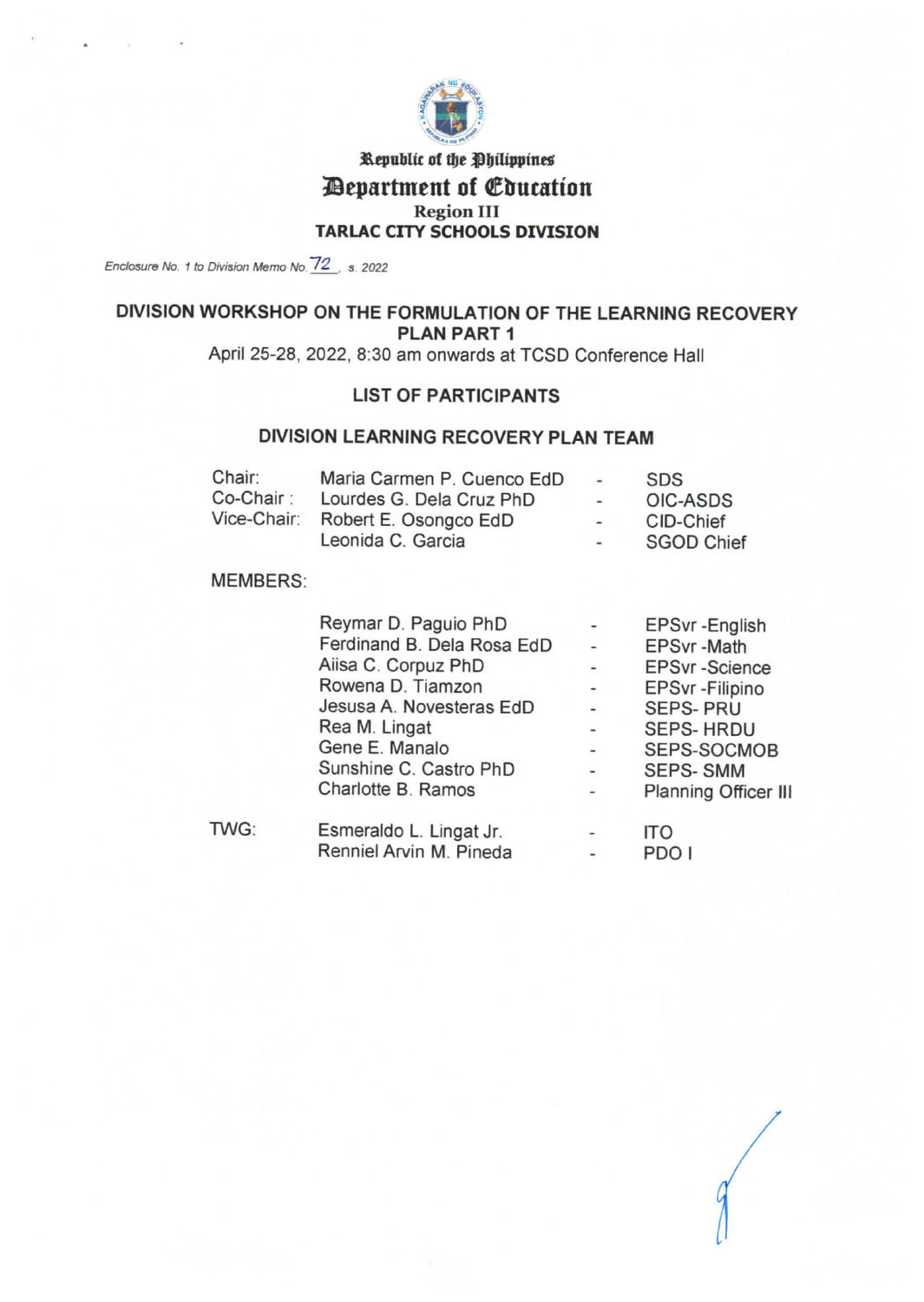

## Republic of the Philippines *Department of Education* **Region III TARLAC CITY SCHOOLS DIVISION**

Enclosure No. 1 to Division Memo No. 72, s. 2022

# DIVISION WORKSHOP ON THE FORMULATION OF THE LEARNING RECOVERY **PLAN PART 1**

April 25-28, 2022, 8:30 am onwards at TCSD Conference Hall

## **LIST OF PARTICIPANTS**

#### DIVISION LEARNING RECOVERY PLAN TEAM

| Chair:      | Maria Carmen P. Cuenco EdD | $\overline{\phantom{a}}$ | <b>SDS</b>        |
|-------------|----------------------------|--------------------------|-------------------|
| Co-Chair :  | Lourdes G. Dela Cruz PhD   | $-$                      | OIC-ASDS          |
| Vice-Chair: | Robert E. Osongco EdD      | -                        | CID-Chief         |
|             | Leonida C. Garcia          | $\sim$                   | <b>SGOD Chief</b> |

#### **MEMBERS:**

|      | Reymar D. Paguio PhD       |                          | EPSvr-English        |
|------|----------------------------|--------------------------|----------------------|
|      | Ferdinand B. Dela Rosa EdD |                          | <b>EPSvr-Math</b>    |
|      | Aiisa C. Corpuz PhD        | $\overline{\phantom{a}}$ | <b>EPSvr-Science</b> |
|      | Rowena D. Tiamzon          |                          | EPSvr - Filipino     |
|      | Jesusa A. Novesteras EdD   |                          | <b>SEPS-PRU</b>      |
|      | Rea M. Lingat              |                          | <b>SEPS-HRDU</b>     |
|      | Gene E. Manalo             |                          | SEPS-SOCMOB          |
|      | Sunshine C. Castro PhD     | $\blacksquare$           | <b>SEPS-SMM</b>      |
|      | Charlotte B. Ramos         |                          | Planning Officer III |
| TWG: | Esmeraldo L. Lingat Jr.    |                          | ITO                  |
|      | Renniel Arvin M. Pineda    |                          | PDO I                |